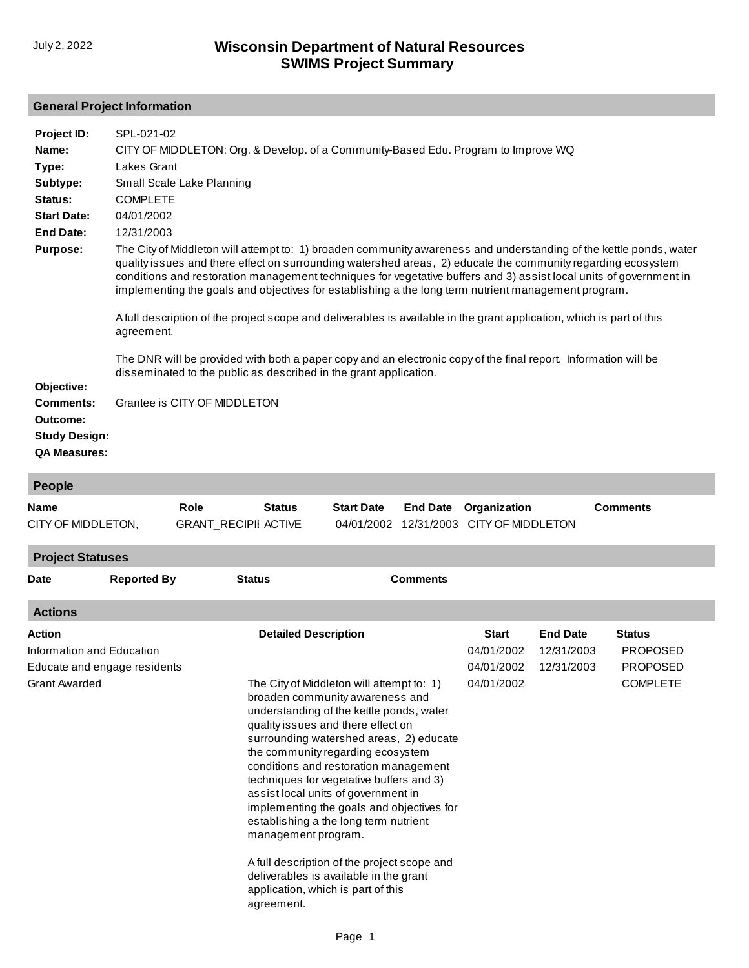## **General Project Information**

| Project ID:          | SPL-021-02                                                                                                                                                                                                                                                                                                                                                                                                                                                                                                                                                                                                                                                                                                                                                                                     |
|----------------------|------------------------------------------------------------------------------------------------------------------------------------------------------------------------------------------------------------------------------------------------------------------------------------------------------------------------------------------------------------------------------------------------------------------------------------------------------------------------------------------------------------------------------------------------------------------------------------------------------------------------------------------------------------------------------------------------------------------------------------------------------------------------------------------------|
| Name:                | CITY OF MIDDLETON: Org. & Develop. of a Community-Based Edu. Program to Improve WQ                                                                                                                                                                                                                                                                                                                                                                                                                                                                                                                                                                                                                                                                                                             |
| Type:                | Lakes Grant                                                                                                                                                                                                                                                                                                                                                                                                                                                                                                                                                                                                                                                                                                                                                                                    |
| Subtype:             | Small Scale Lake Planning                                                                                                                                                                                                                                                                                                                                                                                                                                                                                                                                                                                                                                                                                                                                                                      |
| Status:              | <b>COMPLETE</b>                                                                                                                                                                                                                                                                                                                                                                                                                                                                                                                                                                                                                                                                                                                                                                                |
| <b>Start Date:</b>   | 04/01/2002                                                                                                                                                                                                                                                                                                                                                                                                                                                                                                                                                                                                                                                                                                                                                                                     |
| <b>End Date:</b>     | 12/31/2003                                                                                                                                                                                                                                                                                                                                                                                                                                                                                                                                                                                                                                                                                                                                                                                     |
| <b>Purpose:</b>      | The City of Middleton will attempt to: 1) broaden community awareness and understanding of the kettle ponds, water<br>quality issues and there effect on surrounding watershed areas, 2) educate the community regarding ecosystem<br>conditions and restoration management techniques for vegetative buffers and 3) assist local units of government in<br>implementing the goals and objectives for establishing a the long term nutrient management program.<br>A full description of the project scope and deliverables is available in the grant application, which is part of this<br>agreement.<br>The DNR will be provided with both a paper copy and an electronic copy of the final report. Information will be<br>disseminated to the public as described in the grant application. |
| Objective:           |                                                                                                                                                                                                                                                                                                                                                                                                                                                                                                                                                                                                                                                                                                                                                                                                |
| <b>Comments:</b>     | Grantee is CITY OF MIDDLETON                                                                                                                                                                                                                                                                                                                                                                                                                                                                                                                                                                                                                                                                                                                                                                   |
| Outcome:             |                                                                                                                                                                                                                                                                                                                                                                                                                                                                                                                                                                                                                                                                                                                                                                                                |
| <b>Study Design:</b> |                                                                                                                                                                                                                                                                                                                                                                                                                                                                                                                                                                                                                                                                                                                                                                                                |
| <b>QA Measures:</b>  |                                                                                                                                                                                                                                                                                                                                                                                                                                                                                                                                                                                                                                                                                                                                                                                                |

| People                                                                                      |                    |  |                                                                                                                                                                                                                                                                                                                                                                                                                                                                                                                                                                                                                                      |  |                                   |                                                        |                                             |                                                                        |  |
|---------------------------------------------------------------------------------------------|--------------------|--|--------------------------------------------------------------------------------------------------------------------------------------------------------------------------------------------------------------------------------------------------------------------------------------------------------------------------------------------------------------------------------------------------------------------------------------------------------------------------------------------------------------------------------------------------------------------------------------------------------------------------------------|--|-----------------------------------|--------------------------------------------------------|---------------------------------------------|------------------------------------------------------------------------|--|
| <b>Role</b><br><b>Name</b><br>CITY OF MIDDLETON,                                            |                    |  | <b>Start Date</b><br><b>End Date</b><br><b>Status</b><br>12/31/2003<br><b>GRANT_RECIPII ACTIVE</b><br>04/01/2002                                                                                                                                                                                                                                                                                                                                                                                                                                                                                                                     |  | Organization<br>CITY OF MIDDLETON |                                                        | <b>Comments</b>                             |                                                                        |  |
| <b>Project Statuses</b>                                                                     |                    |  |                                                                                                                                                                                                                                                                                                                                                                                                                                                                                                                                                                                                                                      |  |                                   |                                                        |                                             |                                                                        |  |
| <b>Date</b>                                                                                 | <b>Reported By</b> |  | <b>Comments</b><br><b>Status</b>                                                                                                                                                                                                                                                                                                                                                                                                                                                                                                                                                                                                     |  |                                   |                                                        |                                             |                                                                        |  |
| <b>Actions</b>                                                                              |                    |  |                                                                                                                                                                                                                                                                                                                                                                                                                                                                                                                                                                                                                                      |  |                                   |                                                        |                                             |                                                                        |  |
| Action<br>Information and Education<br>Educate and engage residents<br><b>Grant Awarded</b> |                    |  | The City of Middleton will attempt to: 1)<br>broaden community awareness and<br>understanding of the kettle ponds, water<br>quality issues and there effect on<br>surrounding watershed areas, 2) educate<br>the community regarding ecosystem<br>conditions and restoration management<br>techniques for vegetative buffers and 3)<br>assist local units of government in<br>implementing the goals and objectives for<br>establishing a the long term nutrient<br>management program.<br>A full description of the project scope and<br>deliverables is available in the grant<br>application, which is part of this<br>agreement. |  |                                   | <b>Start</b><br>04/01/2002<br>04/01/2002<br>04/01/2002 | <b>End Date</b><br>12/31/2003<br>12/31/2003 | <b>Status</b><br><b>PROPOSED</b><br><b>PROPOSED</b><br><b>COMPLETE</b> |  |
|                                                                                             |                    |  |                                                                                                                                                                                                                                                                                                                                                                                                                                                                                                                                                                                                                                      |  |                                   |                                                        |                                             |                                                                        |  |